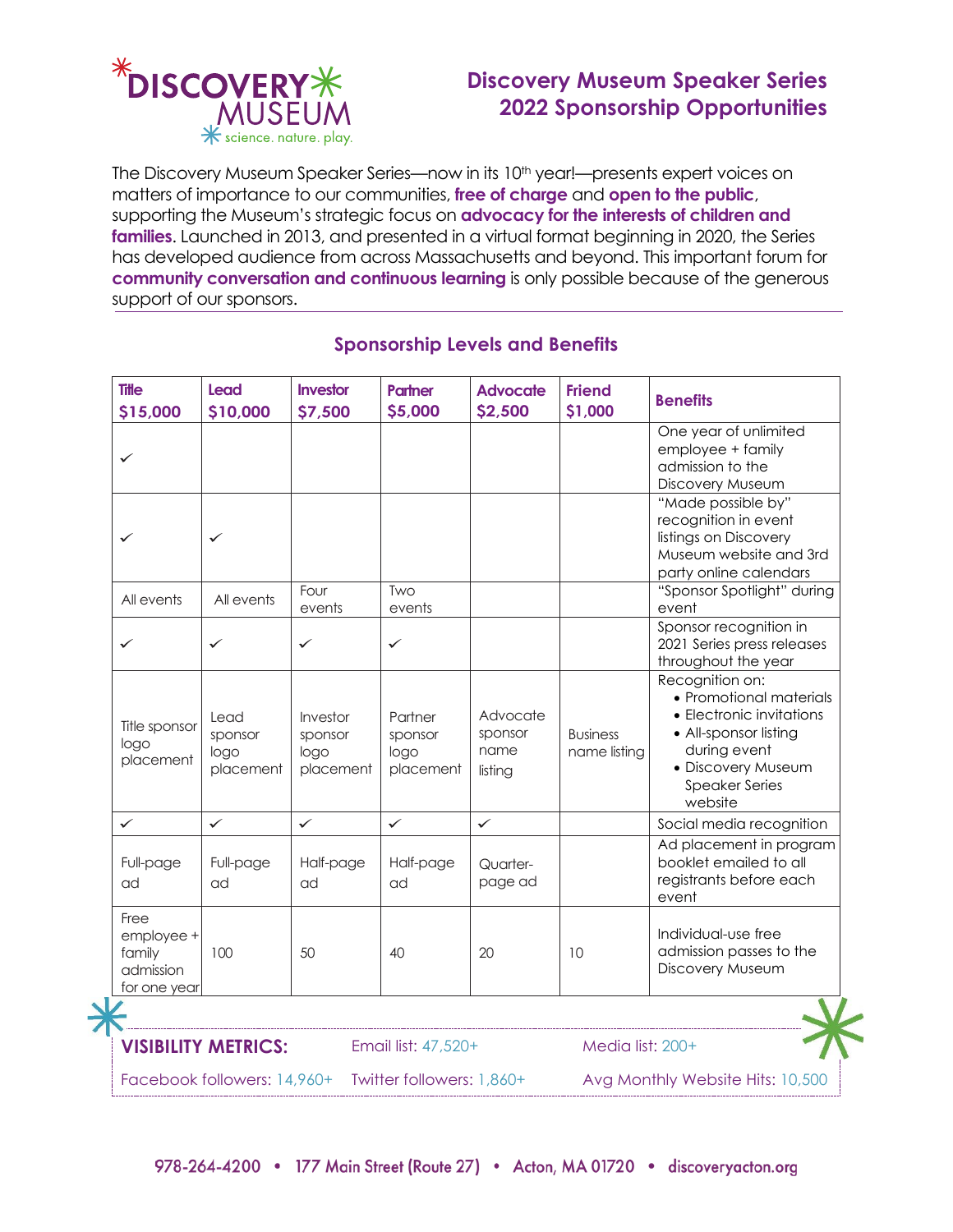

→

# **Discovery Museum Speaker Series 2022 Sponsorship Opportunities**

The Discovery Museum Speaker Series—now in its 10<sup>th</sup> year!—presents expert voices on matters of importance to our communities, **free of charge** and **open to the public**, supporting the Museum's strategic focus on **advocacy for the interests of children and families**. Launched in 2013, and presented in a virtual format beginning in 2020, the Series has developed audience from across Massachusetts and beyond. This important forum for **community conversation and continuous learning** is only possible because of the generous support of our sponsors.

| <b>Title</b><br>\$15,000                                                                  | <b>Lead</b><br>\$10,000              | Investor<br>\$7,500                      | <b>Partner</b><br>\$5,000               | <b>Advocate</b><br>\$2,500             | <b>Friend</b><br>\$1,000        | <b>Benefits</b>                                                                                                                                                           |
|-------------------------------------------------------------------------------------------|--------------------------------------|------------------------------------------|-----------------------------------------|----------------------------------------|---------------------------------|---------------------------------------------------------------------------------------------------------------------------------------------------------------------------|
| ✓                                                                                         |                                      |                                          |                                         |                                        |                                 | One year of unlimited<br>employee + family<br>admission to the<br>Discovery Museum                                                                                        |
| ✓                                                                                         | ✓                                    |                                          |                                         |                                        |                                 | "Made possible by"<br>recognition in event<br>listings on Discovery<br>Museum website and 3rd<br>party online calendars                                                   |
| All events                                                                                | All events                           | Four<br>events                           | Two<br>events                           |                                        |                                 | "Sponsor Spotlight" during<br>event                                                                                                                                       |
| ✓                                                                                         | ✓                                    | $\checkmark$                             | $\checkmark$                            |                                        |                                 | Sponsor recognition in<br>2021 Series press releases<br>throughout the year                                                                                               |
| Title sponsor<br>logo<br>placement                                                        | Lead<br>sponsor<br>logo<br>placement | Investor<br>sponsor<br>logo<br>placement | Partner<br>sponsor<br>logo<br>placement | Advocate<br>sponsor<br>name<br>listing | <b>Business</b><br>name listing | Recognition on:<br>• Promotional materials<br>• Electronic invitations<br>• All-sponsor listing<br>during event<br>· Discovery Museum<br><b>Speaker Series</b><br>website |
| $\checkmark$                                                                              | $\checkmark$                         | $\checkmark$                             | $\checkmark$                            | $\checkmark$                           |                                 | Social media recognition                                                                                                                                                  |
| Full-page<br>ad                                                                           | Full-page<br>ad                      | Half-page<br>ad                          | Half-page<br>ad                         | Quarter-<br>page ad                    |                                 | Ad placement in program<br>booklet emailed to all<br>registrants before each<br>event                                                                                     |
| Free<br>employee +<br>family<br>admission<br>for one year                                 | 100                                  | 50                                       | 40                                      | 20                                     | 10                              | Individual-use free<br>admission passes to the<br>Discovery Museum                                                                                                        |
|                                                                                           |                                      |                                          |                                         |                                        |                                 |                                                                                                                                                                           |
| <b>VISIBILITY METRICS:</b><br>Email list: 47,520+                                         |                                      |                                          |                                         |                                        | Media list: 200+                |                                                                                                                                                                           |
| Facebook followers: 14,960+ Twitter followers: 1,860+<br>Avg Monthly Website Hits: 10,500 |                                      |                                          |                                         |                                        |                                 |                                                                                                                                                                           |

## **Sponsorship Levels and Benefits**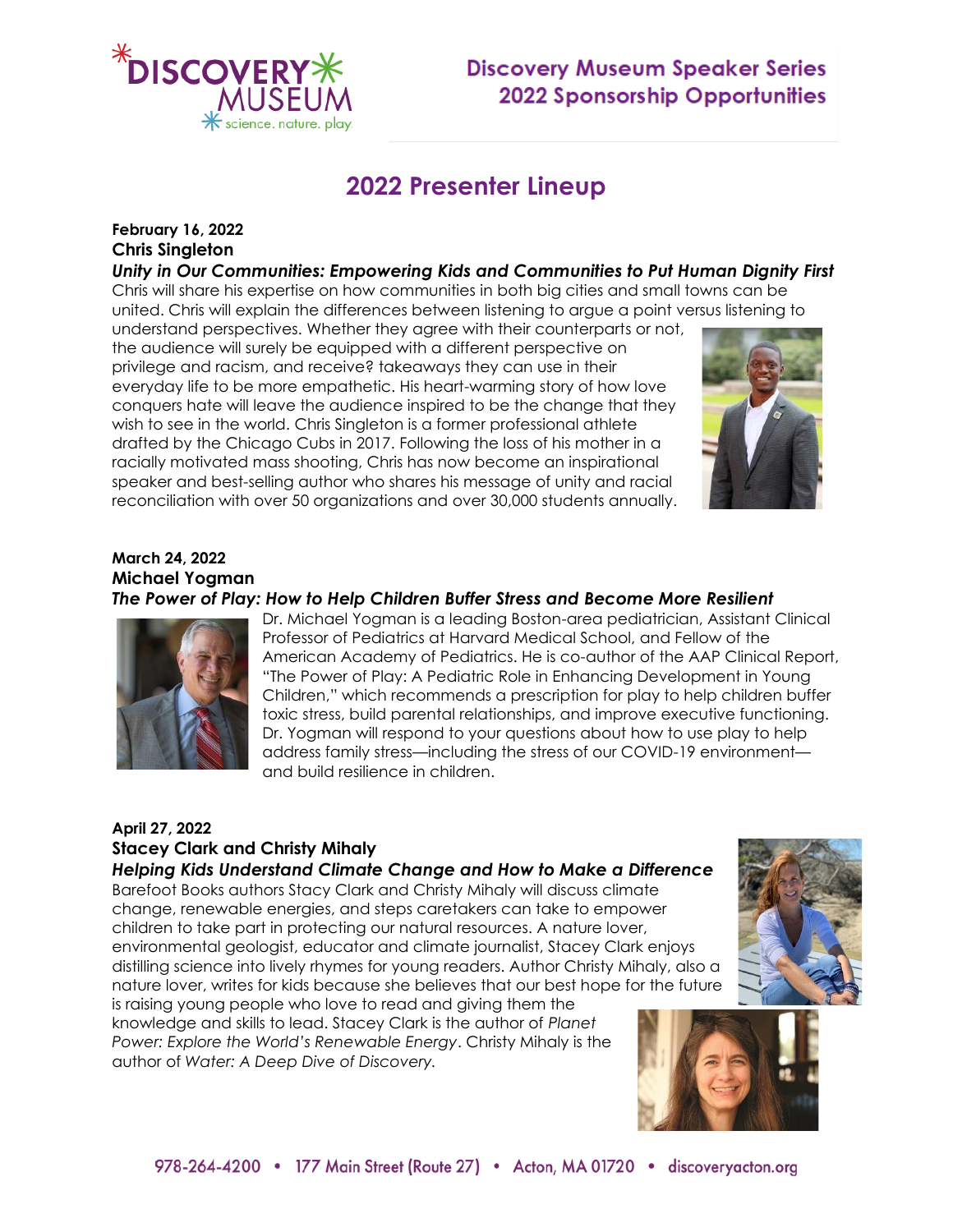

# **Discovery Museum Speaker Series 2022 Sponsorship Opportunities**

# **2022 Presenter Lineup**

## **February 16, 2022 Chris Singleton**

*Unity in Our Communities: Empowering Kids and Communities to Put Human Dignity First*

Chris will share his expertise on how communities in both big cities and small towns can be united. Chris will explain the differences between listening to argue a point versus listening to understand perspectives. Whether they agree with their counterparts or not,

the audience will surely be equipped with a different perspective on privilege and racism, and receive? takeaways they can use in their everyday life to be more empathetic. His heart-warming story of how love conquers hate will leave the audience inspired to be the change that they wish to see in the world. Chris Singleton is a former professional athlete drafted by the Chicago Cubs in 2017. Following the loss of his mother in a racially motivated mass shooting, Chris has now become an inspirational speaker and best-selling author who shares his message of unity and racial reconciliation with over 50 organizations and over 30,000 students annually.



#### **March 24, 2022 Michael Yogman** *The Power of Play: How to Help Children Buffer Stress and Become More Resilient*



Dr. Michael Yogman is a leading Boston-area pediatrician, Assistant Clinical Professor of Pediatrics at Harvard Medical School, and Fellow of the American Academy of Pediatrics. He is co-author of the AAP Clinical Report, "The Power of Play: A Pediatric Role in Enhancing Development in Young Children," which recommends a prescription for play to help children buffer toxic stress, build parental relationships, and improve executive functioning. Dr. Yogman will respond to your questions about how to use play to help address family stress—including the stress of our COVID-19 environment and build resilience in children.

### **April 27, 2022 Stacey Clark and Christy Mihaly**

## *Helping Kids Understand Climate Change and How to Make a Difference*

Barefoot Books authors Stacy Clark and Christy Mihaly will discuss climate change, renewable energies, and steps caretakers can take to empower children to take part in protecting our natural resources. A nature lover, environmental geologist, educator and climate journalist, Stacey Clark enjoys distilling science into lively rhymes for young readers. Author Christy Mihaly, also a nature lover, writes for kids because she believes that our best hope for the future

is raising young people who love to read and giving them the knowledge and skills to lead. Stacey Clark is the author of *Planet Power: Explore the World's Renewable Energy*. Christy Mihaly is the author of *Water: A Deep Dive of Discovery.*